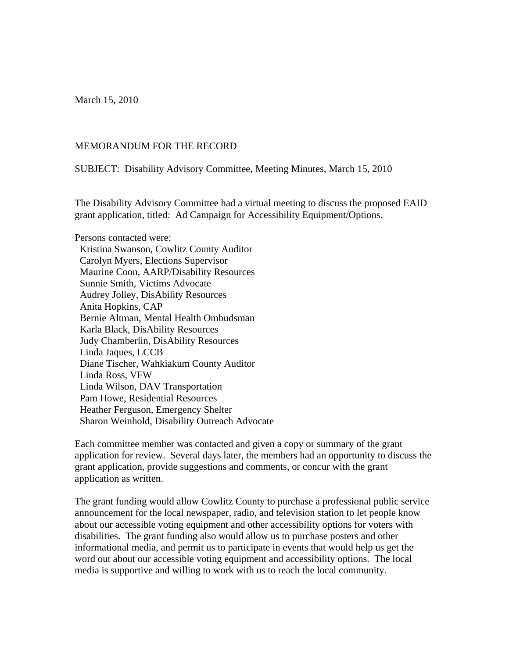March 15, 2010

## MEMORANDUM FOR THE RECORD

SUBJECT: Disability Advisory Committee, Meeting Minutes, March 15, 2010

The Disability Advisory Committee had a virtual meeting to discuss the proposed EAID grant application, titled: Ad Campaign for Accessibility Equipment/Options.

Persons contacted were: Kristina Swanson, Cowlitz County Auditor Carolyn Myers, Elections Supervisor Maurine Coon, AARP/Disability Resources Sunnie Smith, Victims Advocate Audrey Jolley, DisAbility Resources Anita Hopkins, CAP Bernie Altman, Mental Health Ombudsman Karla Black, DisAbility Resources Judy Chamberlin, DisAbility Resources Linda Jaques, LCCB Diane Tischer, Wahkiakum County Auditor Linda Ross, VFW Linda Wilson, DAV Transportation Pam Howe, Residential Resources Heather Ferguson, Emergency Shelter Sharon Weinhold, Disability Outreach Advocate

Each committee member was contacted and given a copy or summary of the grant application for review. Several days later, the members had an opportunity to discuss the grant application, provide suggestions and comments, or concur with the grant application as written.

The grant funding would allow Cowlitz County to purchase a professional public service announcement for the local newspaper, radio, and television station to let people know about our accessible voting equipment and other accessibility options for voters with disabilities. The grant funding also would allow us to purchase posters and other informational media, and permit us to participate in events that would help us get the word out about our accessible voting equipment and accessibility options. The local media is supportive and willing to work with us to reach the local community.